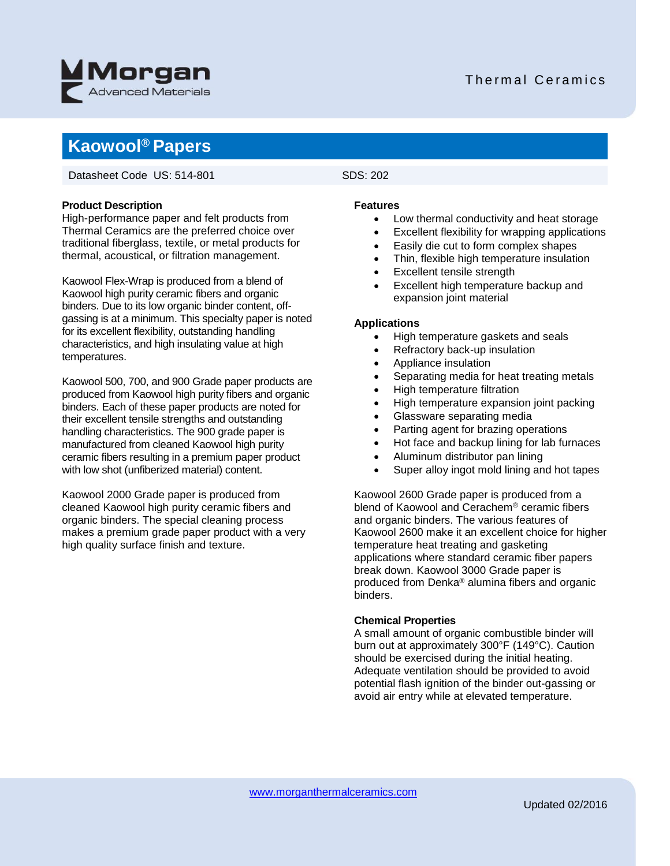

### Thermal Ceramics

## **Kaowool® Papers**

Datasheet Code US: 514-801 SDS: 202

#### **Product Description**

High-performance paper and felt products from Thermal Ceramics are the preferred choice over traditional fiberglass, textile, or metal products for thermal, acoustical, or filtration management.

Kaowool Flex-Wrap is produced from a blend of Kaowool high purity ceramic fibers and organic binders. Due to its low organic binder content, offgassing is at a minimum. This specialty paper is noted for its excellent flexibility, outstanding handling characteristics, and high insulating value at high temperatures.

Kaowool 500, 700, and 900 Grade paper products are produced from Kaowool high purity fibers and organic binders. Each of these paper products are noted for their excellent tensile strengths and outstanding handling characteristics. The 900 grade paper is manufactured from cleaned Kaowool high purity ceramic fibers resulting in a premium paper product with low shot (unfiberized material) content.

Kaowool 2000 Grade paper is produced from cleaned Kaowool high purity ceramic fibers and organic binders. The special cleaning process makes a premium grade paper product with a very high quality surface finish and texture.

#### **Features**

- Low thermal conductivity and heat storage
- Excellent flexibility for wrapping applications
- Easily die cut to form complex shapes
- Thin, flexible high temperature insulation
- Excellent tensile strength
- Excellent high temperature backup and expansion joint material

#### **Applications**

- High temperature gaskets and seals
- Refractory back-up insulation
- Appliance insulation
- Separating media for heat treating metals
- High temperature filtration
- High temperature expansion joint packing
- Glassware separating media
- Parting agent for brazing operations
- Hot face and backup lining for lab furnaces
- Aluminum distributor pan lining
- Super alloy ingot mold lining and hot tapes

Kaowool 2600 Grade paper is produced from a blend of Kaowool and Cerachem® ceramic fibers and organic binders. The various features of Kaowool 2600 make it an excellent choice for higher temperature heat treating and gasketing applications where standard ceramic fiber papers break down. Kaowool 3000 Grade paper is produced from Denka® alumina fibers and organic binders.

### **Chemical Properties**

A small amount of organic combustible binder will burn out at approximately 300°F (149°C). Caution should be exercised during the initial heating. Adequate ventilation should be provided to avoid potential flash ignition of the binder out-gassing or avoid air entry while at elevated temperature.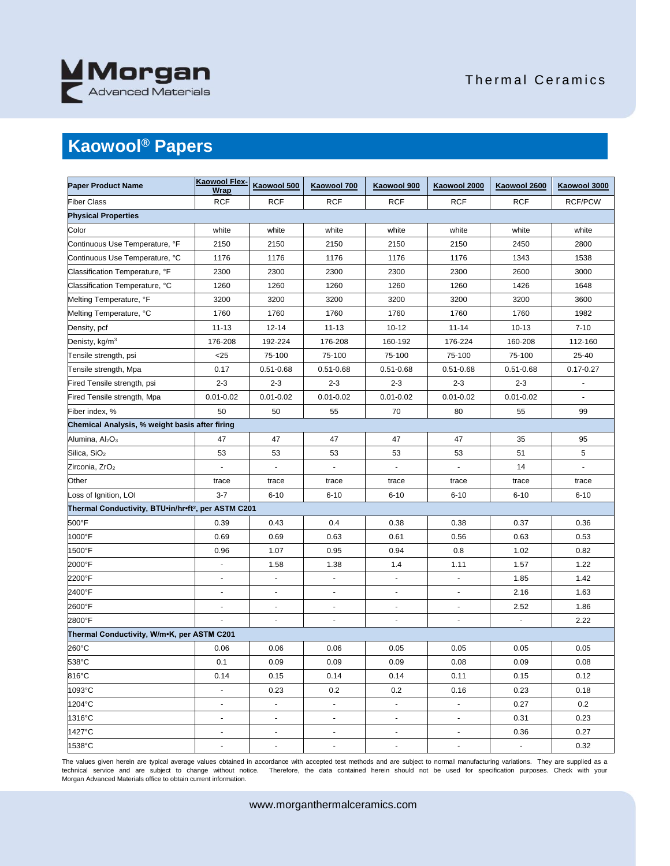

### Thermal Ceramics

# **Kaowool® Papers**

| <b>Paper Product Name</b>                                       | Kaowool Flex-<br><b>Wrap</b> | Kaowool 500              | Kaowool 700              | Kaowool 900              | Kaowool 2000             | Kaowool 2600   | Kaowool 3000   |  |  |  |
|-----------------------------------------------------------------|------------------------------|--------------------------|--------------------------|--------------------------|--------------------------|----------------|----------------|--|--|--|
| <b>Fiber Class</b>                                              | <b>RCF</b>                   | <b>RCF</b>               | <b>RCF</b>               | <b>RCF</b>               | <b>RCF</b>               | <b>RCF</b>     | <b>RCF/PCW</b> |  |  |  |
| <b>Physical Properties</b>                                      |                              |                          |                          |                          |                          |                |                |  |  |  |
| Color                                                           | white                        | white                    | white                    | white                    | white                    | white          | white          |  |  |  |
| Continuous Use Temperature, °F                                  | 2150                         | 2150                     | 2150                     | 2150                     | 2150                     | 2450           | 2800           |  |  |  |
| Continuous Use Temperature, °C                                  | 1176                         | 1176                     | 1176                     | 1176                     | 1176                     | 1343           | 1538           |  |  |  |
| Classification Temperature, °F                                  | 2300                         | 2300                     | 2300                     | 2300                     | 2300                     | 2600           | 3000           |  |  |  |
| Classification Temperature, °C                                  | 1260                         | 1260                     | 1260                     | 1260                     | 1260                     | 1426           | 1648           |  |  |  |
| Melting Temperature, °F                                         | 3200                         | 3200                     | 3200                     | 3200                     | 3200                     | 3200           | 3600           |  |  |  |
| Melting Temperature, °C                                         | 1760                         | 1760                     | 1760                     | 1760                     | 1760                     | 1760           | 1982           |  |  |  |
| Density, pcf                                                    | $11 - 13$                    | $12 - 14$                | $11 - 13$                | $10 - 12$                | $11 - 14$                | $10 - 13$      | $7 - 10$       |  |  |  |
| Denisty, kg/m <sup>3</sup>                                      | 176-208                      | 192-224                  | 176-208                  | 160-192                  | 176-224                  | 160-208        | 112-160        |  |  |  |
| Tensile strength, psi                                           | $<$ 25                       | 75-100                   | 75-100                   | 75-100                   | 75-100                   | 75-100         | 25-40          |  |  |  |
| Tensile strength, Mpa                                           | 0.17                         | $0.51 - 0.68$            | $0.51 - 0.68$            | $0.51 - 0.68$            | $0.51 - 0.68$            | $0.51 - 0.68$  | $0.17 - 0.27$  |  |  |  |
| Fired Tensile strength, psi                                     | $2 - 3$                      | $2 - 3$                  | $2 - 3$                  | $2 - 3$                  | $2 - 3$                  | $2 - 3$        |                |  |  |  |
| Fired Tensile strength, Mpa                                     | $0.01 - 0.02$                | $0.01 - 0.02$            | $0.01 - 0.02$            | $0.01 - 0.02$            | $0.01 - 0.02$            | $0.01 - 0.02$  |                |  |  |  |
| Fiber index, %                                                  | 50                           | 50                       | 55                       | 70                       | 80                       | 55             | 99             |  |  |  |
| Chemical Analysis, % weight basis after firing                  |                              |                          |                          |                          |                          |                |                |  |  |  |
| Alumina, Al <sub>2</sub> O <sub>3</sub>                         | 47                           | 47                       | 47                       | 47                       | 47                       | 35             | 95             |  |  |  |
| Silica, SiO <sub>2</sub>                                        | 53                           | 53                       | 53                       | 53                       | 53                       | 51             | 5              |  |  |  |
| Zirconia, ZrO <sub>2</sub>                                      | $\blacksquare$               | $\blacksquare$           | ÷,                       | $\blacksquare$           | $\blacksquare$           | 14             | $\blacksquare$ |  |  |  |
| Other                                                           | trace                        | trace                    | trace                    | trace                    | trace                    | trace          | trace          |  |  |  |
| Loss of Ignition, LOI                                           | $3 - 7$                      | $6 - 10$                 | $6 - 10$                 | $6 - 10$                 | $6 - 10$                 | $6 - 10$       | $6 - 10$       |  |  |  |
| Thermal Conductivity, BTU.in/hr.ft <sup>2</sup> , per ASTM C201 |                              |                          |                          |                          |                          |                |                |  |  |  |
| 500°F                                                           | 0.39                         | 0.43                     | 0.4                      | 0.38                     | 0.38                     | 0.37           | 0.36           |  |  |  |
| 1000°F                                                          | 0.69                         | 0.69                     | 0.63                     | 0.61                     | 0.56                     | 0.63           | 0.53           |  |  |  |
| 1500°F                                                          | 0.96                         | 1.07                     | 0.95                     | 0.94                     | 0.8                      | 1.02           | 0.82           |  |  |  |
| 2000°F                                                          | $\blacksquare$               | 1.58                     | 1.38                     | 1.4                      | 1.11                     | 1.57           | 1.22           |  |  |  |
| 2200°F                                                          | $\overline{\phantom{a}}$     | $\blacksquare$           | $\overline{\phantom{a}}$ | $\overline{\phantom{a}}$ | $\overline{\phantom{a}}$ | 1.85           | 1.42           |  |  |  |
| 2400°F                                                          | $\blacksquare$               | $\blacksquare$           | $\overline{\phantom{a}}$ | $\blacksquare$           | ä,                       | 2.16           | 1.63           |  |  |  |
| 2600°F                                                          |                              |                          |                          | $\overline{a}$           | ٠                        | 2.52           | 1.86           |  |  |  |
| 2800°F                                                          |                              | $\Box$                   | $\blacksquare$           | $\overline{a}$           | ä,                       |                | 2.22           |  |  |  |
| Thermal Conductivity, W/m•K, per ASTM C201                      |                              |                          |                          |                          |                          |                |                |  |  |  |
| 260°C                                                           | 0.06                         | 0.06                     | 0.06                     | 0.05                     | 0.05                     | 0.05           | 0.05           |  |  |  |
| 538°C                                                           | 0.1                          | 0.09                     | 0.09                     | 0.09                     | 0.08                     | 0.09           | 0.08           |  |  |  |
| 816°C                                                           | 0.14                         | 0.15                     | 0.14                     | 0.14                     | 0.11                     | 0.15           | 0.12           |  |  |  |
| 1093°C                                                          | $\overline{\phantom{a}}$     | 0.23                     | 0.2                      | 0.2                      | 0.16                     | 0.23           | 0.18           |  |  |  |
| 1204°C                                                          | $\blacksquare$               | $\blacksquare$           | $\blacksquare$           | $\blacksquare$           | $\blacksquare$           | 0.27           | 0.2            |  |  |  |
| 1316°C                                                          | $\blacksquare$               | $\blacksquare$           | $\blacksquare$           | $\overline{\phantom{a}}$ | $\blacksquare$           | 0.31           | 0.23           |  |  |  |
| 1427°C                                                          | $\overline{\phantom{a}}$     | $\overline{\phantom{a}}$ | $\overline{\phantom{a}}$ | $\overline{\phantom{a}}$ | $\overline{\phantom{a}}$ | 0.36           | 0.27           |  |  |  |
| 1538°C                                                          | $\blacksquare$               | $\blacksquare$           | $\blacksquare$           | ÷,                       | $\blacksquare$           | $\blacksquare$ | 0.32           |  |  |  |

The values given herein are typical average values obtained in accordance with accepted test methods and are subject to normal manufacturing variations. They are supplied as a technical service and are subject to change without notice. Therefore, the data contained herein should not be used for specification purposes. Check with your Morgan Advanced Materials office to obtain current information.